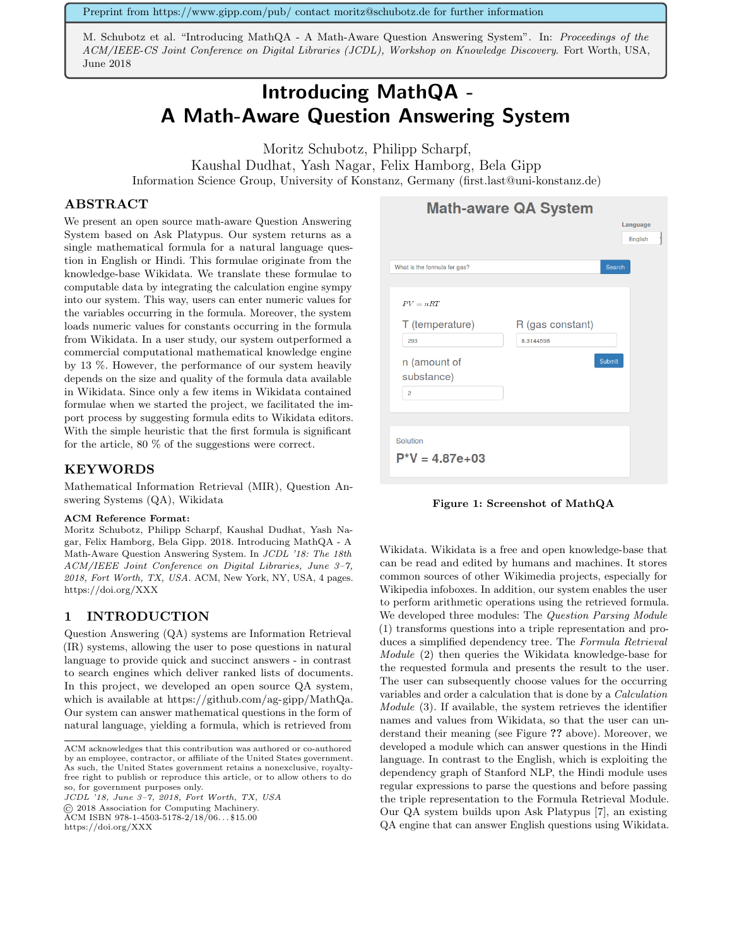Preprint from<https://www.gipp.com/pub/> contact moritz@schubotz.de for further information

M. Schubotz et al. "Introducing MathQA - A Math-Aware Question Answering System". In: Proceedings of the ACM/IEEE-CS Joint Conference on Digital Libraries (JCDL), Workshop on Knowledge Discovery. Fort Worth, USA, June 2018

# Introducing MathQA - A Math-Aware Question Answering System

Moritz Schubotz, Philipp Scharpf,

Kaushal Dudhat, Yash Nagar, Felix Hamborg, Bela Gipp

Information Science Group, University of Konstanz, Germany (first.last@uni-konstanz.de)

## ABSTRACT

We present an open source math-aware Question Answering System based on Ask Platypus. Our system returns as a single mathematical formula for a natural language question in English or Hindi. This formulae originate from the knowledge-base Wikidata. We translate these formulae to computable data by integrating the calculation engine sympy into our system. This way, users can enter numeric values for the variables occurring in the formula. Moreover, the system loads numeric values for constants occurring in the formula from Wikidata. In a user study, our system outperformed a commercial computational mathematical knowledge engine by 13 %. However, the performance of our system heavily depends on the size and quality of the formula data available in Wikidata. Since only a few items in Wikidata contained formulae when we started the project, we facilitated the import process by suggesting formula edits to Wikidata editors. With the simple heuristic that the first formula is significant for the article, 80 % of the suggestions were correct.

### KEYWORDS

Mathematical Information Retrieval (MIR), Question Answering Systems (QA), Wikidata

#### ACM Reference Format:

Moritz Schubotz, Philipp Scharpf, Kaushal Dudhat, Yash Nagar, Felix Hamborg, Bela Gipp. 2018. Introducing MathQA - A Math-Aware Question Answering System. In JCDL '18: The 18th ACM/IEEE Joint Conference on Digital Libraries, June 3–7, 2018, Fort Worth, TX, USA. ACM, New York, NY, USA, [4](#page-3-0) pages. <https://doi.org/XXX>

#### 1 INTRODUCTION

Question Answering (QA) systems are Information Retrieval (IR) systems, allowing the user to pose questions in natural language to provide quick and succinct answers - in contrast to search engines which deliver ranked lists of documents. In this project, we developed an open source QA system, which is available at [https://github.com/ag-gipp/MathQa.](https://github.com/ag-gipp/MathQa) Our system can answer mathematical questions in the form of natural language, yielding a formula, which is retrieved from

JCDL '18, June 3–7, 2018, Fort Worth, TX, USA

© 2018 Association for Computing Machinery.

ACM ISBN 978-1-4503-5178-2/18/06. . . \$15.00

<https://doi.org/XXX>

# **Math-aware QA System**

|                              |                  | Language      |
|------------------------------|------------------|---------------|
|                              |                  | English       |
|                              |                  |               |
| What is the formula for gas? |                  | Search        |
|                              |                  |               |
| $PV = nRT$                   |                  |               |
| T (temperature)              | R (gas constant) |               |
| 293                          | 8.3144598        |               |
| n (amount of                 |                  | <b>Submit</b> |
| substance)                   |                  |               |
| $\overline{2}$               |                  |               |
|                              |                  |               |
|                              |                  |               |
| Solution                     |                  |               |
| $P^*V = 4.87e+03$            |                  |               |
|                              |                  |               |
|                              |                  |               |

Figure 1: Screenshot of MathQA

Wikidata. Wikidata is a free and open knowledge-base that can be read and edited by humans and machines. It stores common sources of other Wikimedia projects, especially for Wikipedia infoboxes. In addition, our system enables the user to perform arithmetic operations using the retrieved formula. We developed three modules: The Question Parsing Module (1) transforms questions into a triple representation and produces a simplified dependency tree. The Formula Retrieval Module (2) then queries the Wikidata knowledge-base for the requested formula and presents the result to the user. The user can subsequently choose values for the occurring variables and order a calculation that is done by a Calculation Module (3). If available, the system retrieves the identifier names and values from Wikidata, so that the user can understand their meaning (see Figure ?? above). Moreover, we developed a module which can answer questions in the Hindi language. In contrast to the English, which is exploiting the dependency graph of Stanford NLP, the Hindi module uses regular expressions to parse the questions and before passing the triple representation to the Formula Retrieval Module. Our QA system builds upon Ask Platypus [\[7\]](#page-2-0), an existing QA engine that can answer English questions using Wikidata.

ACM acknowledges that this contribution was authored or co-authored by an employee, contractor, or affiliate of the United States government. As such, the United States government retains a nonexclusive, royaltyfree right to publish or reproduce this article, or to allow others to do so, for government purposes only.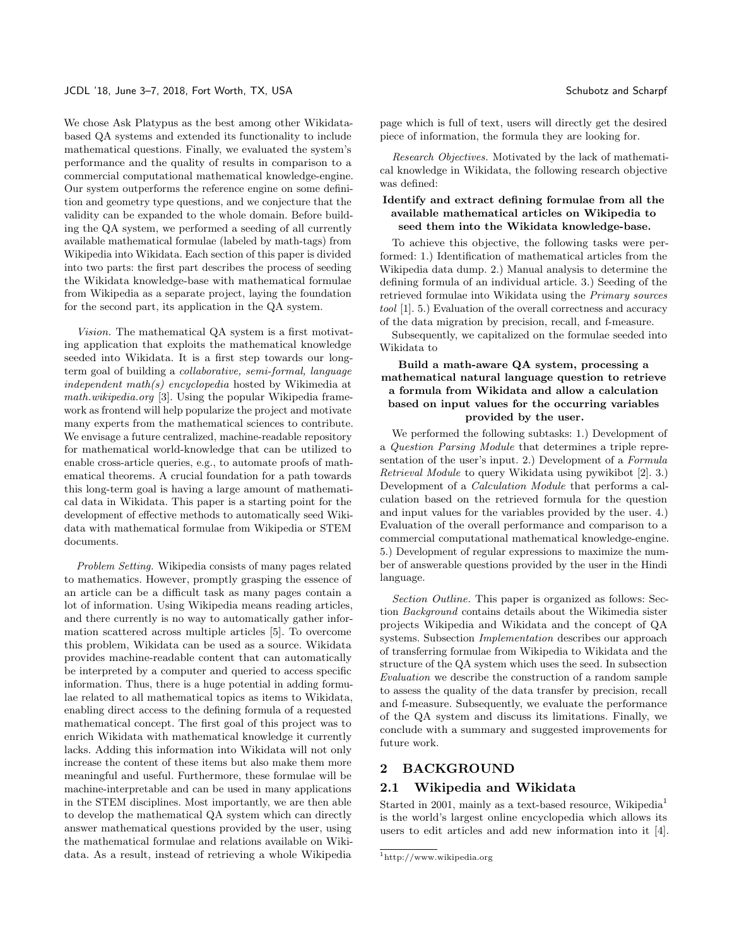We chose Ask Platypus as the best among other Wikidatabased QA systems and extended its functionality to include mathematical questions. Finally, we evaluated the system's performance and the quality of results in comparison to a commercial computational mathematical knowledge-engine. Our system outperforms the reference engine on some definition and geometry type questions, and we conjecture that the validity can be expanded to the whole domain. Before building the QA system, we performed a seeding of all currently available mathematical formulae (labeled by math-tags) from Wikipedia into Wikidata. Each section of this paper is divided into two parts: the first part describes the process of seeding the Wikidata knowledge-base with mathematical formulae from Wikipedia as a separate project, laying the foundation for the second part, its application in the QA system.

Vision. The mathematical QA system is a first motivating application that exploits the mathematical knowledge seeded into Wikidata. It is a first step towards our longterm goal of building a collaborative, semi-formal, language independent math(s) encyclopedia hosted by Wikimedia at math.wikipedia.org [\[3\]](#page-2-1). Using the popular Wikipedia framework as frontend will help popularize the project and motivate many experts from the mathematical sciences to contribute. We envisage a future centralized, machine-readable repository for mathematical world-knowledge that can be utilized to enable cross-article queries, e.g., to automate proofs of mathematical theorems. A crucial foundation for a path towards this long-term goal is having a large amount of mathematical data in Wikidata. This paper is a starting point for the development of effective methods to automatically seed Wikidata with mathematical formulae from Wikipedia or STEM documents.

Problem Setting. Wikipedia consists of many pages related to mathematics. However, promptly grasping the essence of an article can be a difficult task as many pages contain a lot of information. Using Wikipedia means reading articles, and there currently is no way to automatically gather information scattered across multiple articles [\[5\]](#page-2-2). To overcome this problem, Wikidata can be used as a source. Wikidata provides machine-readable content that can automatically be interpreted by a computer and queried to access specific information. Thus, there is a huge potential in adding formulae related to all mathematical topics as items to Wikidata, enabling direct access to the defining formula of a requested mathematical concept. The first goal of this project was to enrich Wikidata with mathematical knowledge it currently lacks. Adding this information into Wikidata will not only increase the content of these items but also make them more meaningful and useful. Furthermore, these formulae will be machine-interpretable and can be used in many applications in the STEM disciplines. Most importantly, we are then able to develop the mathematical QA system which can directly answer mathematical questions provided by the user, using the mathematical formulae and relations available on Wikidata. As a result, instead of retrieving a whole Wikipedia page which is full of text, users will directly get the desired piece of information, the formula they are looking for.

Research Objectives. Motivated by the lack of mathematical knowledge in Wikidata, the following research objective was defined:

### Identify and extract defining formulae from all the available mathematical articles on Wikipedia to seed them into the Wikidata knowledge-base.

To achieve this objective, the following tasks were performed: 1.) Identification of mathematical articles from the Wikipedia data dump. 2.) Manual analysis to determine the defining formula of an individual article. 3.) Seeding of the retrieved formulae into Wikidata using the Primary sources tool [\[1\]](#page-2-3). 5.) Evaluation of the overall correctness and accuracy of the data migration by precision, recall, and f-measure.

Subsequently, we capitalized on the formulae seeded into Wikidata to

#### Build a math-aware QA system, processing a mathematical natural language question to retrieve a formula from Wikidata and allow a calculation based on input values for the occurring variables provided by the user.

We performed the following subtasks: 1.) Development of a Question Parsing Module that determines a triple representation of the user's input. 2.) Development of a Formula Retrieval Module to query Wikidata using pywikibot [\[2\]](#page-2-4). 3.) Development of a Calculation Module that performs a calculation based on the retrieved formula for the question and input values for the variables provided by the user. 4.) Evaluation of the overall performance and comparison to a commercial computational mathematical knowledge-engine. 5.) Development of regular expressions to maximize the number of answerable questions provided by the user in the Hindi language.

Section Outline. This paper is organized as follows: Section Background contains details about the Wikimedia sister projects Wikipedia and Wikidata and the concept of QA systems. Subsection Implementation describes our approach of transferring formulae from Wikipedia to Wikidata and the structure of the QA system which uses the seed. In subsection Evaluation we describe the construction of a random sample to assess the quality of the data transfer by precision, recall and f-measure. Subsequently, we evaluate the performance of the QA system and discuss its limitations. Finally, we conclude with a summary and suggested improvements for future work.

## 2 BACKGROUND

#### 2.1 Wikipedia and Wikidata

Started in 200[1](#page-1-0), mainly as a text-based resource, Wikipedia<sup>1</sup> is the world's largest online encyclopedia which allows its users to edit articles and add new information into it [\[4\]](#page-2-5).

<span id="page-1-0"></span><sup>1</sup><http://www.wikipedia.org>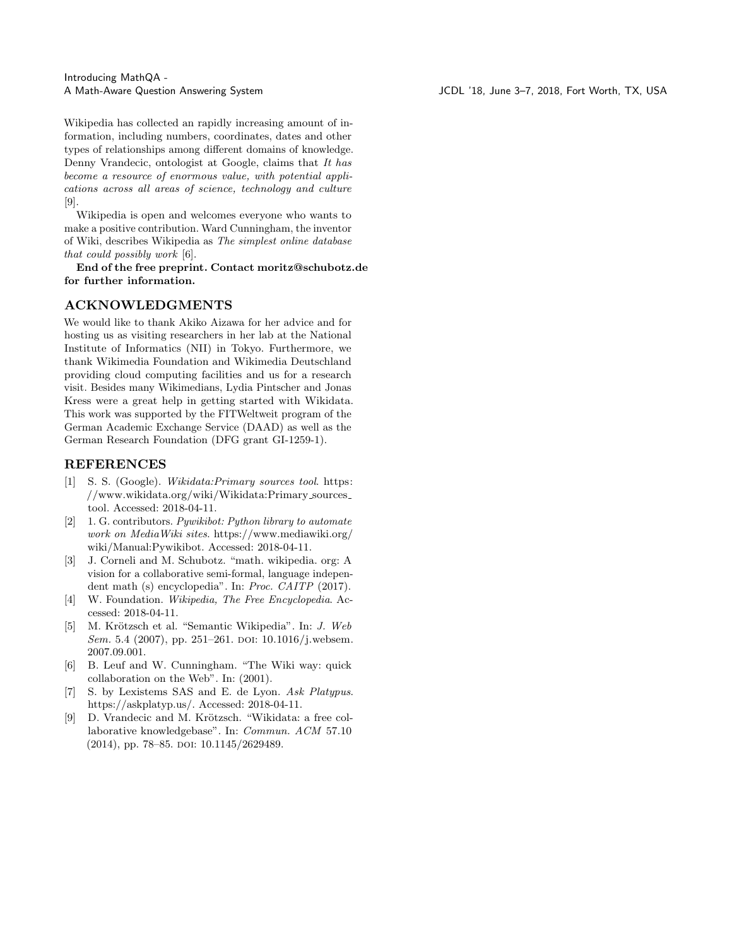# Introducing MathQA -

Wikipedia has collected an rapidly increasing amount of information, including numbers, coordinates, dates and other types of relationships among different domains of knowledge. Denny Vrandecic, ontologist at Google, claims that It has become a resource of enormous value, with potential applications across all areas of science, technology and culture [\[9\]](#page-2-6).

Wikipedia is open and welcomes everyone who wants to make a positive contribution. Ward Cunningham, the inventor of Wiki, describes Wikipedia as The simplest online database that could possibly work [\[6\]](#page-2-7).

End of the free preprint. Contact moritz@schubotz.de for further information.

## ACKNOWLEDGMENTS

We would like to thank Akiko Aizawa for her advice and for hosting us as visiting researchers in her lab at the National Institute of Informatics (NII) in Tokyo. Furthermore, we thank Wikimedia Foundation and Wikimedia Deutschland providing cloud computing facilities and us for a research visit. Besides many Wikimedians, Lydia Pintscher and Jonas Kress were a great help in getting started with Wikidata. This work was supported by the FITWeltweit program of the German Academic Exchange Service (DAAD) as well as the German Research Foundation (DFG grant GI-1259-1).

## REFERENCES

- <span id="page-2-3"></span>[1] S. S. (Google). Wikidata: Primary sources tool. [https:](https://www.wikidata.org/wiki/Wikidata:Primary_sources_tool) [//www.wikidata.org/wiki/Wikidata:Primary](https://www.wikidata.org/wiki/Wikidata:Primary_sources_tool) sources [tool.](https://www.wikidata.org/wiki/Wikidata:Primary_sources_tool) Accessed: 2018-04-11.
- <span id="page-2-4"></span>[2] 1. G. contributors. Pywikibot: Python library to automate work on MediaWiki sites. [https://www.mediawiki.org/](https://www.mediawiki.org/wiki/Manual:Pywikibot) [wiki/Manual:Pywikibot.](https://www.mediawiki.org/wiki/Manual:Pywikibot) Accessed: 2018-04-11.
- <span id="page-2-1"></span>[3] J. Corneli and M. Schubotz. "math. wikipedia. org: A vision for a collaborative semi-formal, language independent math (s) encyclopedia". In: Proc. CAITP (2017).
- <span id="page-2-5"></span>[4] W. Foundation. Wikipedia, The Free Encyclopedia. Accessed: 2018-04-11.
- <span id="page-2-2"></span>[5] M. Krötzsch et al. "Semantic Wikipedia". In: J. Web Sem. 5.4 (2007), pp. 251–261. DOI: [10.1016/j.websem.](https://doi.org/10.1016/j.websem.2007.09.001) [2007.09.001.](https://doi.org/10.1016/j.websem.2007.09.001)
- <span id="page-2-7"></span>[6] B. Leuf and W. Cunningham. "The Wiki way: quick collaboration on the Web". In: (2001).
- <span id="page-2-0"></span>[7] S. by Lexistems SAS and E. de Lyon. Ask Platypus. [https://askplatyp.us/.](https://askplatyp.us/) Accessed: 2018-04-11.
- <span id="page-2-6"></span>[9] D. Vrandecic and M. Krötzsch. "Wikidata: a free collaborative knowledgebase". In: Commun. ACM 57.10 (2014), pp. 78–85. doi: [10.1145/2629489.](https://doi.org/10.1145/2629489)